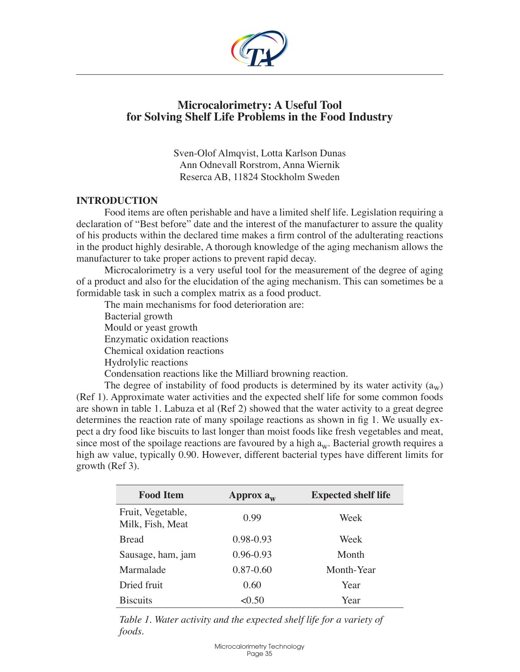

# **Microcalorimetry: A Useful Tool for Solving Shelf Life Problems in the Food Industry**

Sven-Olof Almqvist, Lotta Karlson Dunas Ann Odnevall Rorstrom, Anna Wiernik Reserca AB, 11824 Stockholm Sweden

### **Introduction**

Food items are often perishable and have a limited shelf life. Legislation requiring a declaration of "Best before" date and the interest of the manufacturer to assure the quality of his products within the declared time makes a firm control of the adulterating reactions in the product highly desirable, A thorough knowledge of the aging mechanism allows the manufacturer to take proper actions to prevent rapid decay.

Microcalorimetry is a very useful tool for the measurement of the degree of aging of a product and also for the elucidation of the aging mechanism. This can sometimes be a formidable task in such a complex matrix as a food product.

The main mechanisms for food deterioration are: Bacterial growth Mould or yeast growth Enzymatic oxidation reactions Chemical oxidation reactions Hydrolylic reactions Condensation reactions like the Milliard browning reaction.

The degree of instability of food products is determined by its water activity  $(a_w)$ (Ref 1). Approximate water activities and the expected shelf life for some common foods are shown in table 1. Labuza et al (Ref 2) showed that the water activity to a great degree determines the reaction rate of many spoilage reactions as shown in fig 1. We usually expect a dry food like biscuits to last longer than moist foods like fresh vegetables and meat, since most of the spoilage reactions are favoured by a high  $a_w$ . Bacterial growth requires a high aw value, typically 0.90. However, different bacterial types have different limits for growth (Ref 3).

| <b>Food Item</b>                      | Approx $a_w$  | <b>Expected shelf life</b> |
|---------------------------------------|---------------|----------------------------|
| Fruit, Vegetable,<br>Milk, Fish, Meat | 0.99          | Week                       |
| <b>Bread</b>                          | $0.98 - 0.93$ | Week                       |
| Sausage, ham, jam                     | 0.96-0.93     | Month                      |
| Marmalade                             | $0.87 - 0.60$ | Month-Year                 |
| Dried fruit                           | 0.60          | Year                       |
| <b>Biscuits</b>                       | < 0.50        | Year                       |

*Table 1. Water activity and the expected shelf life for a variety of foods.*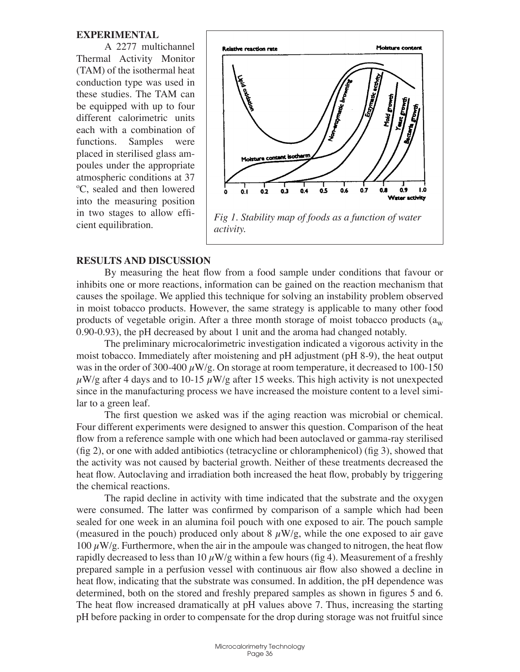#### **Experimental**

A 2277 multichannel Thermal Activity Monitor (TAM) of the isothermal heat conduction type was used in these studies. The TAM can be equipped with up to four different calorimetric units each with a combination of functions. Samples were placed in sterilised glass ampoules under the appropriate atmospheric conditions at 37 ºC, sealed and then lowered into the measuring position in two stages to allow efficient equilibration.



#### **Results and Discussion**

By measuring the heat flow from a food sample under conditions that favour or inhibits one or more reactions, information can be gained on the reaction mechanism that causes the spoilage. We applied this technique for solving an instability problem observed in moist tobacco products. However, the same strategy is applicable to many other food products of vegetable origin. After a three month storage of moist tobacco products  $(a_w)$ 0.90-0.93), the pH decreased by about 1 unit and the aroma had changed notably.

The preliminary microcalorimetric investigation indicated a vigorous activity in the moist tobacco. Immediately after moistening and pH adjustment (pH 8-9), the heat output was in the order of 300-400  $\mu$ W/g. On storage at room temperature, it decreased to 100-150  $\mu$ W/g after 4 days and to 10-15  $\mu$ W/g after 15 weeks. This high activity is not unexpected since in the manufacturing process we have increased the moisture content to a level similar to a green leaf.

The first question we asked was if the aging reaction was microbial or chemical. Four different experiments were designed to answer this question. Comparison of the heat flow from a reference sample with one which had been autoclaved or gamma-ray sterilised (fig 2), or one with added antibiotics (tetracycline or chloramphenicol) (fig 3), showed that the activity was not caused by bacterial growth. Neither of these treatments decreased the heat flow. Autoclaving and irradiation both increased the heat flow, probably by triggering the chemical reactions.

The rapid decline in activity with time indicated that the substrate and the oxygen were consumed. The latter was confirmed by comparison of a sample which had been sealed for one week in an alumina foil pouch with one exposed to air. The pouch sample (measured in the pouch) produced only about 8  $\mu$ W/g, while the one exposed to air gave 100  $\mu$ W/g. Furthermore, when the air in the ampoule was changed to nitrogen, the heat flow rapidly decreased to less than 10  $\mu$ W/g within a few hours (fig 4). Measurement of a freshly prepared sample in a perfusion vessel with continuous air flow also showed a decline in heat flow, indicating that the substrate was consumed. In addition, the pH dependence was determined, both on the stored and freshly prepared samples as shown in figures 5 and 6. The heat flow increased dramatically at pH values above 7. Thus, increasing the starting pH before packing in order to compensate for the drop during storage was not fruitful since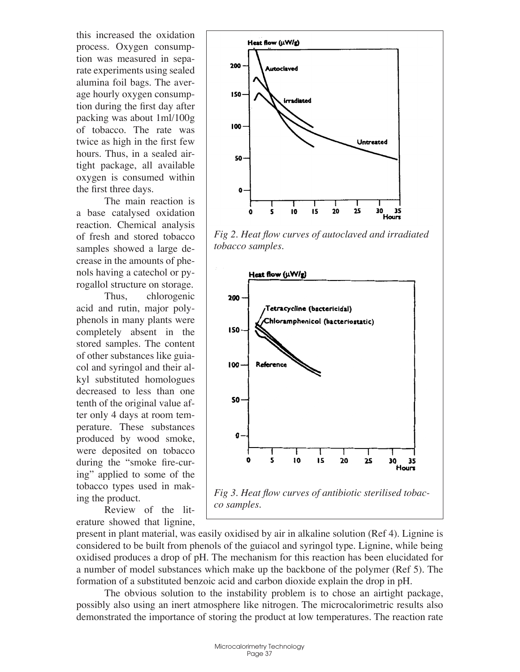this increased the oxidation process. Oxygen consumption was measured in separate experiments using sealed alumina foil bags. The average hourly oxygen consumption during the first day after packing was about 1ml/100g of tobacco. The rate was twice as high in the first few hours. Thus, in a sealed airtight package, all available oxygen is consumed within the first three days.

The main reaction is a base catalysed oxidation reaction. Chemical analysis of fresh and stored tobacco samples showed a large decrease in the amounts of phenols having a catechol or pyrogallol structure on storage.

Thus, chlorogenic acid and rutin, major polyphenols in many plants were completely absent in the stored samples. The content of other substances like guiacol and syringol and their alkyl substituted homologues decreased to less than one tenth of the original value after only 4 days at room temperature. These substances produced by wood smoke, were deposited on tobacco during the "smoke fire-curing" applied to some of the tobacco types used in making the product.

Review of the literature showed that lignine,



*Fig 2. Heat flow curves of autoclaved and irradiated tobacco samples.*



present in plant material, was easily oxidised by air in alkaline solution (Ref 4). Lignine is considered to be built from phenols of the guiacol and syringol type. Lignine, while being oxidised produces a drop of pH. The mechanism for this reaction has been elucidated for a number of model substances which make up the backbone of the polymer (Ref 5). The formation of a substituted benzoic acid and carbon dioxide explain the drop in pH.

The obvious solution to the instability problem is to chose an airtight package, possibly also using an inert atmosphere like nitrogen. The microcalorimetric results also demonstrated the importance of storing the product at low temperatures. The reaction rate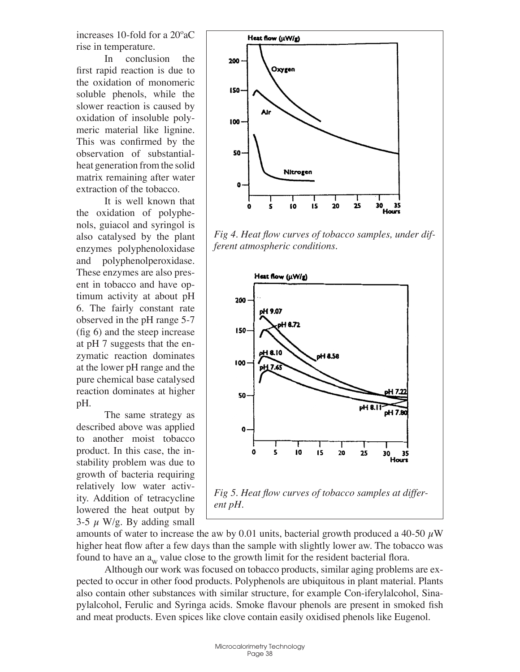increases 10-fold for a 20ºaC rise in temperature.

In conclusion the first rapid reaction is due to the oxidation of monomeric soluble phenols, while the slower reaction is caused by oxidation of insoluble polymeric material like lignine. This was confirmed by the observation of substantialheat generation from the solid matrix remaining after water extraction of the tobacco.

It is well known that the oxidation of polyphenols, guiacol and syringol is also catalysed by the plant enzymes polyphenoloxidase and polyphenolperoxidase. These enzymes are also present in tobacco and have optimum activity at about pH 6. The fairly constant rate observed in the pH range 5-7 (fig 6) and the steep increase at pH 7 suggests that the enzymatic reaction dominates at the lower pH range and the pure chemical base catalysed reaction dominates at higher pH.

The same strategy as described above was applied to another moist tobacco product. In this case, the instability problem was due to growth of bacteria requiring relatively low water activity. Addition of tetracycline lowered the heat output by 3-5  $\mu$  W/g. By adding small



*Fig 4. Heat flow curves of tobacco samples, under different atmospheric conditions.*



amounts of water to increase the aw by 0.01 units, bacterial growth produced a 40-50  $\mu$ W higher heat flow after a few days than the sample with slightly lower aw. The tobacco was found to have an  $a_w$  value close to the growth limit for the resident bacterial flora.

Although our work was focused on tobacco products, similar aging problems are expected to occur in other food products. Polyphenols are ubiquitous in plant material. Plants also contain other substances with similar structure, for example Con-iferylalcohol, Sinapylalcohol, Ferulic and Syringa acids. Smoke flavour phenols are present in smoked fish and meat products. Even spices like clove contain easily oxidised phenols like Eugenol.